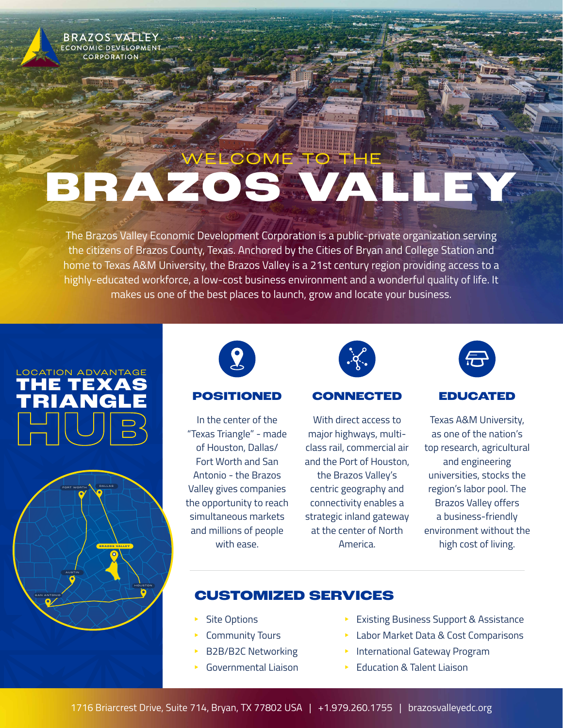

# ELCOME TO THE **BRAZOS VALLEY**

The Brazos Valley Economic Development Corporation is a public-private organization serving the citizens of Brazos County, Texas. Anchored by the Cities of Bryan and College Station and home to Texas A&M University, the Brazos Valley is a 21st century region providing access to a highly-educated workforce, a low-cost business environment and a wonderful quality of life. It makes us one of the best places to launch, grow and locate your business.







In the center of the "Texas Triangle" - made of Houston, Dallas/ Fort Worth and San Antonio - the Brazos Valley gives companies the opportunity to reach simultaneous markets and millions of people with ease.



### **POSITIONED CONNECTED EDUCATED**

With direct access to major highways, multiclass rail, commercial air and the Port of Houston,

the Brazos Valley's centric geography and connectivity enables a strategic inland gateway at the center of North America.



Texas A&M University, as one of the nation's top research, agricultural and engineering universities, stocks the region's labor pool. The Brazos Valley offers a business-friendly environment without the high cost of living.

## **CUSTOMIZED SERVICES**

- Site Options
- Community Tours
- B2B/B2C Networking
- Governmental Liaison
- Existing Business Support & Assistance
- Labor Market Data & Cost Comparisons
- International Gateway Program
- Education & Talent Liaison